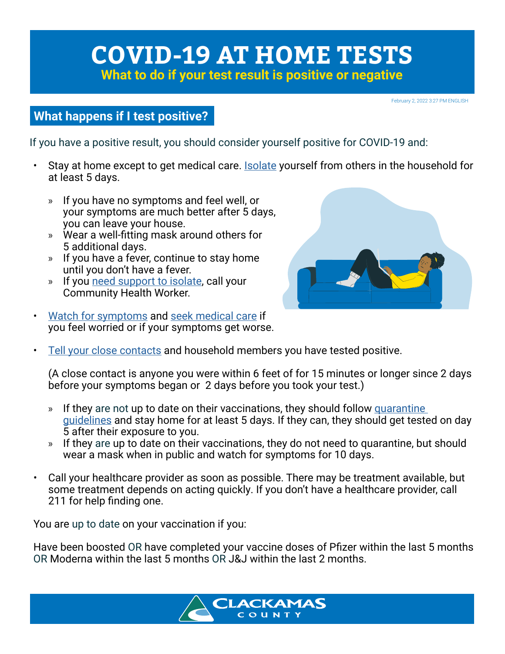# **COVID-19 AT HOME TESTS**

**What to do if your test result is positive or negative**

February 2, 2022 3:27 PM ENGLISH

# **What happens if I test positive?**

If you have a positive result, you should consider yourself positive for COVID-19 and:

- Stay at home except to get medical care. **Isolate yourself from others in the household for** at least 5 days.
	- » If you have no symptoms and feel well, or your symptoms are much better after 5 days, you can leave your house.
	- » Wear a well-fitting mask around others for 5 additional days.
	- » If you have a fever, continue to stay home until you don't have a fever.
	- » If you need support to isolate, call your Community Health Worker.
- Watch for symptoms and seek medical care if you feel worried or if your symptoms get worse.



• Tell your close contacts and household members you have tested positive.

(A close contact is anyone you were within 6 feet of for 15 minutes or longer since 2 days before your symptoms began or 2 days before you took your test.)

- » If they are not up to date on their vaccinations, they should follow quarantine guidelines and stay home for at least 5 days. If they can, they should get tested on day 5 after their exposure to you.
- » If they are up to date on their vaccinations, they do not need to quarantine, but should wear a mask when in public and watch for symptoms for 10 days.
- Call your healthcare provider as soon as possible. There may be treatment available, but some treatment depends on acting quickly. If you don't have a healthcare provider, call 211 for help finding one.

You are up to date on your vaccination if you:

Have been boosted OR have completed your vaccine doses of Pfizer within the last 5 months OR Moderna within the last 5 months OR J&J within the last 2 months.